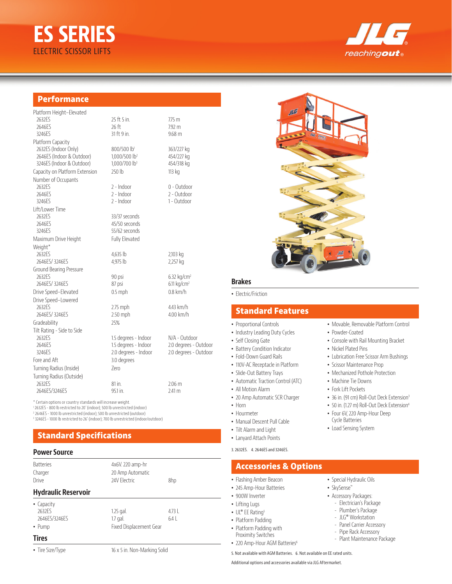# **ES SERIES** ELECTRIC SCISSOR LIFTS



## **Performance**

| Platform Height-Elevated       |                           |                           |
|--------------------------------|---------------------------|---------------------------|
| 2632ES                         | 25 ft 5 in.               | 775m                      |
| 2646ES                         | 26 ft                     | 7.92 m                    |
| 3246ES                         | 31 ft 9 in.               | $9.68$ m                  |
| Platform Capacity              |                           |                           |
| 2632ES (Indoor Only)           | 800/500 lb1               | 363/227 kg                |
| 2646ES (Indoor & Outdoor)      | 1,000/500 lb <sup>2</sup> | 454/227 kg                |
| 3246ES (Indoor & Outdoor)      | 1,000/700 lb <sup>3</sup> | 454/318 kg                |
| Capacity on Platform Extension | 250 lb                    | 113 kg                    |
| Number of Occupants            |                           |                           |
| 2632ES                         | 2 - Indoor                | 0 - Outdoor               |
| 2646ES                         | $2 - Indoor$              | 2 - Outdoor               |
| 3246ES                         | $2 - Indoor$              | 1 - Outdoor               |
| Lift/Lower Time                |                           |                           |
| 2632ES                         | 33/37 seconds             |                           |
| 2646ES                         | 45/50 seconds             |                           |
| 3246ES                         | 55/62 seconds             |                           |
| Maximum Drive Height           | Fully Elevated            |                           |
| Weight*                        |                           |                           |
| 2632ES                         | 4,635 lb                  | 2,103 kg                  |
| 2646ES/3246ES                  | 4,975 lb                  | 2,257 kg                  |
| Ground Bearing Pressure        |                           |                           |
| 2632ES                         | 90 psi                    | $6.32$ kg/cm <sup>2</sup> |
| 2646ES/3246ES                  | 87 psi                    | $6.11$ kg/cm <sup>2</sup> |
| Drive Speed-Elevated           | $0.5$ mph                 | $0.8$ km/h                |
| Drive Speed-Lowered            |                           |                           |
| 2632FS                         | $2.75$ mph                | 4.43 km/h                 |
| 2646ES/3246ES                  | 2.50 mph                  | 4.00 km/h                 |
| Gradeability                   | 25%                       |                           |
| Tilt Rating - Side to Side     |                           |                           |
| 2632ES                         | 1.5 degrees - Indoor      | N/A - Outdoor             |
| 2646ES                         | 1.5 degrees - Indoor      | 2.0 degrees - Outdoor     |
| 3246ES                         | 2.0 degrees - Indoor      | 2.0 degrees - Outdoor     |
| Fore and Aft                   | 3.0 degrees               |                           |
| Turning Radius (Inside)        | 7ero                      |                           |
| Turning Radius (Outside)       |                           |                           |
| 2632FS                         | 81 in.                    | $2.06 \text{ m}$          |
| 2646FS/3246FS                  | 95.1 in.                  | 2.41 m                    |
|                                |                           |                           |

\* Certain options or country standards will increase weight.

1 2632ES - 800 lb restricted to 20' (indoor); 500 lb unrestricted (indoor)

2 2646ES - 1000 lb unrestricted (indoor); 500 lb unrestricted (outdoor) 3 3246ES - 1000 lb restricted to 26' (indoor); 700 lb unrestricted (indoor/outdoor)

## **Standard Specifications**

#### **Power Source**

| <b>Batteries</b><br>Charger<br>Drive                  | 4x6V. 220 amp-hr<br>20 Amp Automatic<br>24V Flectric | 8hp            |
|-------------------------------------------------------|------------------------------------------------------|----------------|
| <b>Hydraulic Reservoir</b>                            |                                                      |                |
| • Capacity<br>2632FS<br>2646FS/3246FS<br>$\cdot$ Pump | $1.25$ gal.<br>$1.7$ gal.<br>Fixed Displacement Gear | $4.73$  <br>64 |
| <b>Tires</b>                                          |                                                      |                |

• Tire Size/Type 16 x 5 in. Non-Marking Solid



#### **Brakes**

• Electric/Friction

## **Standard Features**

• Proportional Controls

- Industry Leading Duty Cycles
- Self Closing Gate
- Battery Condition Indicator
- Fold-Down Guard Rails
- 110V-AC Receptacle in Platform
- Slide-Out Battery Trays
- Automatic Traction Control (ATC)
- All Motion Alarm
- 20 Amp Automatic SCR Charger
- Horn
- Hourmeter
- Manual Descent Pull Cable
- Tilt Alarm and Light
- Lanyard Attach Points
- 3. 2632ES. 4. 2646ES and 3246ES.

#### **Accessories & Options**

- Flashing Amber Beacon
- 245 Amp-Hour Batteries
- 900W Inverter
- Lifting Lugs
- UL® EE Rating<sup>5</sup>
- Platform Padding
- Platform Padding with
- Proximity Switches
- 220 Amp-Hour AGM Batteries<sup>6</sup>

5. Not available with AGM Batteries. 6. Not available on EE rated units.

Additional options and accessories available via JLG Aftermarket.

- Special Hydraulic Oils
- SkySense™
- Accessory Packages:
	- Electrician's Package

• Movable, Removable Platform Control

• Console with Rail Mounting Bracket

• Lubrication Free Scissor Arm Bushings

• 36 in. (91 cm) Roll-Out Deck Extension<sup>3</sup> • 50 in. (1.27 m) Roll-Out Deck Extension<sup>4</sup> • Four 6V, 220 Amp-Hour Deep Cycle Batteries • Load Sensing System

• Powder-Coated

• Nickel Plated Pins

• Scissor Maintenance Prop • Mechanized Pothole Protection • Machine Tie Downs • Fork Lift Pockets

- Plumber's Package
- JLG® Workstation
- Panel Carrier Accessory
- Pipe Rack Accessory
- Plant Maintenance Package